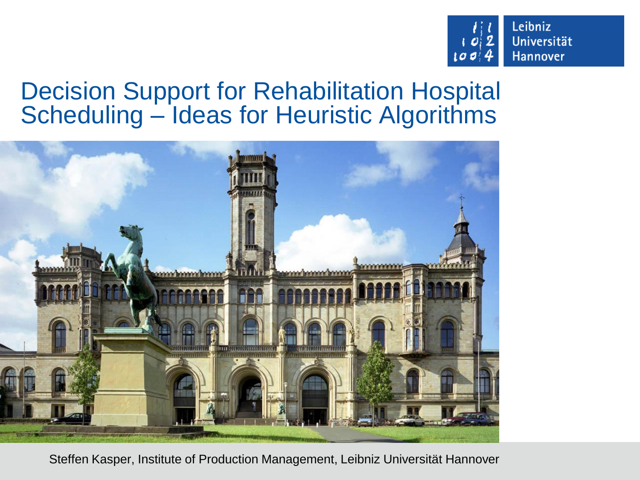

## Decision Support for Rehabilitation Hospital Scheduling – Ideas for Heuristic Algorithms



Steffen Kasper, Institute of Production Management, Leibniz Universität Hannover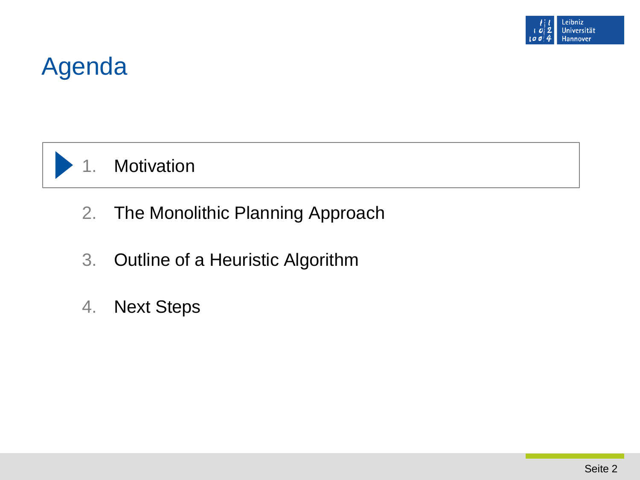

## Agenda



#### 1. Motivation

- 2. The Monolithic Planning Approach
- 3. Outline of a Heuristic Algorithm
- 4. Next Steps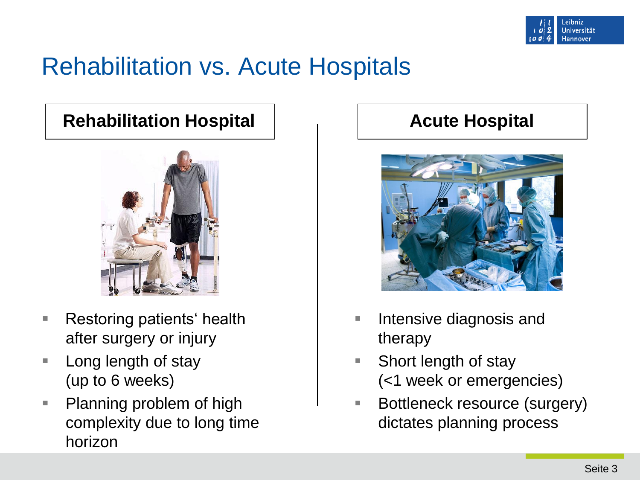

## Rehabilitation vs. Acute Hospitals

#### **Rehabilitation Hospital Acute Hospital**



- **Restoring patients' health** after surgery or injury
- **Long length of stay** (up to 6 weeks)
- **Planning problem of high** complexity due to long time horizon



- Intensive diagnosis and therapy
- Short length of stay (<1 week or emergencies)
- Bottleneck resource (surgery) dictates planning process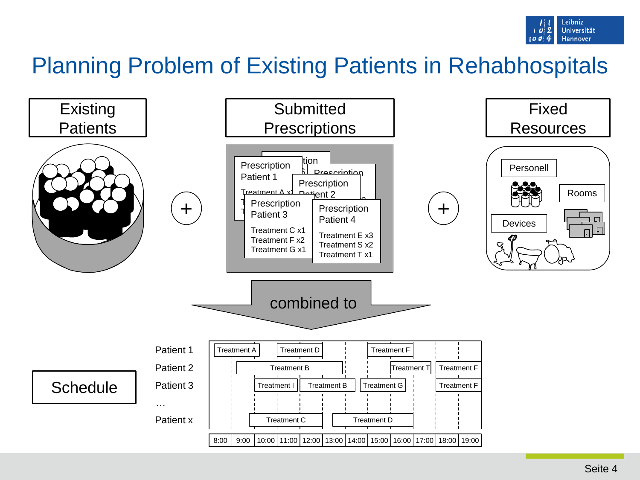

## Planning Problem of Existing Patients in Rehabhospitals

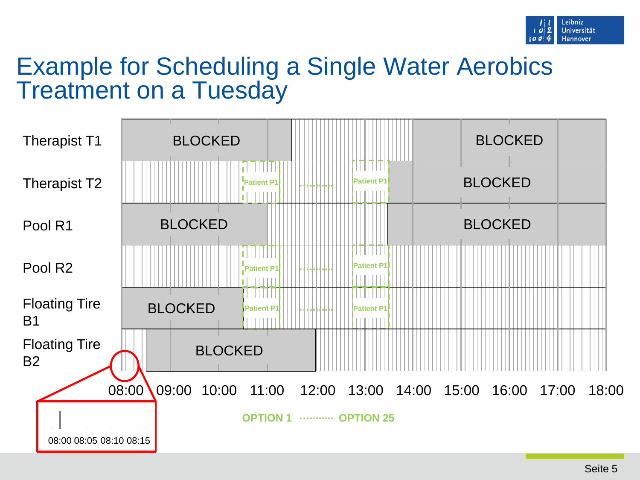

## Example for Scheduling a Single Water Aerobics Treatment on a Tuesday

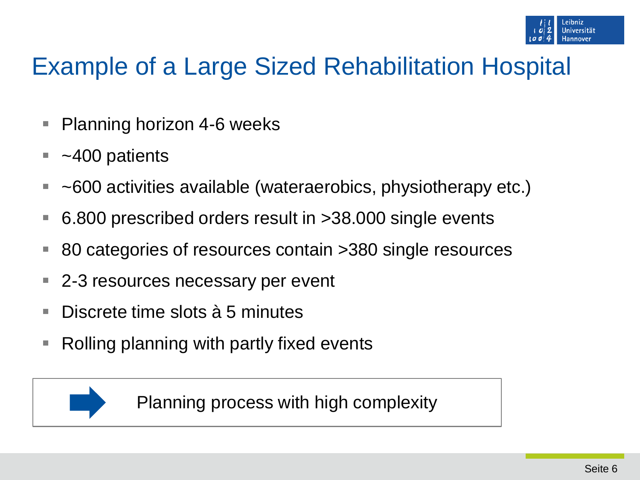# Example of a Large Sized Rehabilitation Hospital

- Planning horizon 4-6 weeks
- ~400 patients
- ~600 activities available (wateraerobics, physiotherapy etc.)
- 6.800 prescribed orders result in >38.000 single events
- 80 categories of resources contain >380 single resources
- 2-3 resources necessary per event
- Discrete time slots à 5 minutes
- Rolling planning with partly fixed events



Planning process with high complexity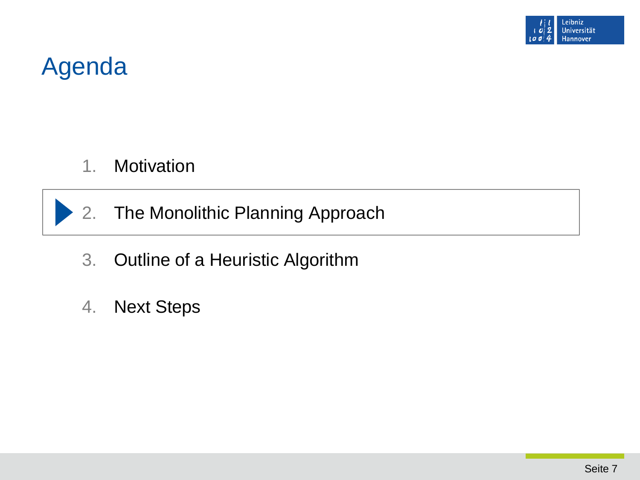

## Agenda

- 1. Motivation
- 2. The Monolithic Planning Approach
- 3. Outline of a Heuristic Algorithm
- 4. Next Steps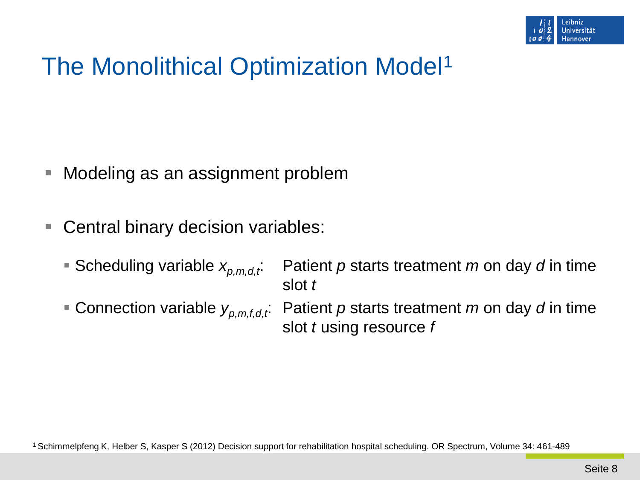

# The Monolithical Optimization Model<sup>1</sup>

- Modeling as an assignment problem
- Central binary decision variables:
	-
	- Scheduling variable  $x_{p,m,d,t}$ : Patient *p* starts treatment *m* on day *d* in time slot *t*
	- Connection variable  $y_{p,m,f,d,t}$ : Patient p starts treatment *m* on day *d* in time slot *t* using resource *f*

1 Schimmelpfeng K, Helber S, Kasper S (2012) Decision support for rehabilitation hospital scheduling. OR Spectrum, Volume 34: 461-489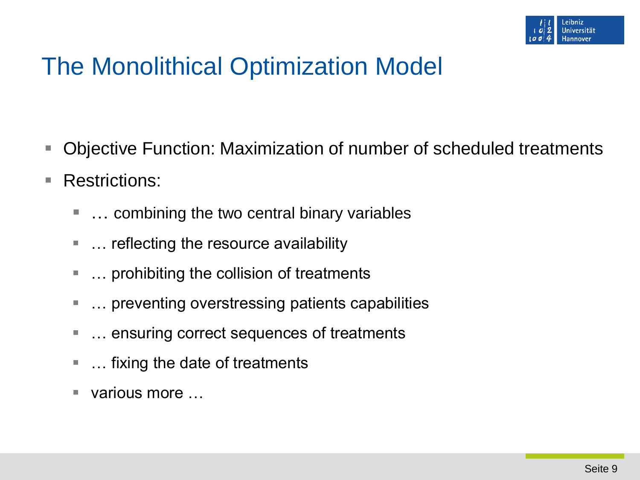

# The Monolithical Optimization Model

- Objective Function: Maximization of number of scheduled treatments
- Restrictions:
	- ... combining the two central binary variables
	- … reflecting the resource availability
	- … prohibiting the collision of treatments
	- … preventing overstressing patients capabilities
	- … ensuring correct sequences of treatments
	- … fixing the date of treatments
	- various more …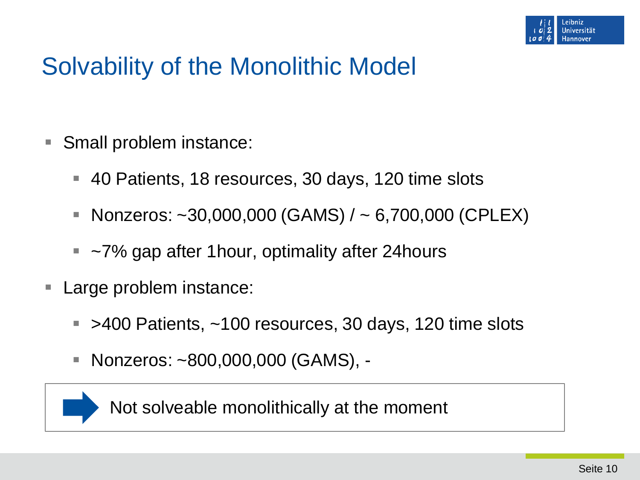

## Solvability of the Monolithic Model

- Small problem instance:
	- 40 Patients, 18 resources, 30 days, 120 time slots
	- Nonzeros:  $\sim$ 30,000,000 (GAMS) /  $\sim$  6,700,000 (CPLEX)
	- ~7% gap after 1 hour, optimality after 24 hours
- **Large problem instance:** 
	- $\blacktriangleright$  >400 Patients,  $\sim$ 100 resources, 30 days, 120 time slots
	- Nonzeros: ~800,000,000 (GAMS), -



Not solveable monolithically at the moment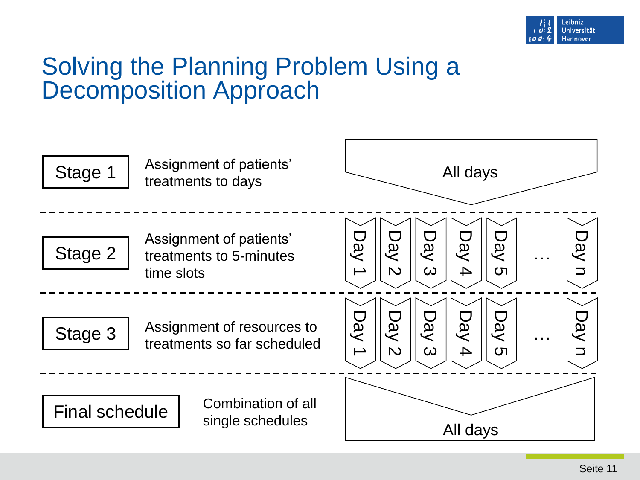

### Solving the Planning Problem Using a Decomposition Approach

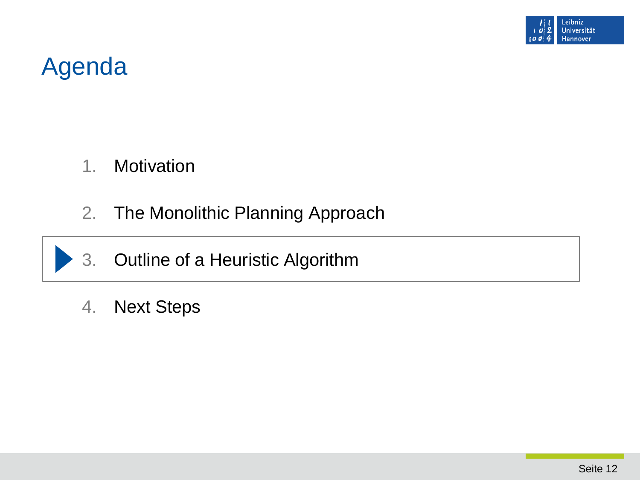![](_page_11_Picture_0.jpeg)

## Agenda

- 1. Motivation
- 2. The Monolithic Planning Approach
- 3. Outline of a Heuristic Algorithm
- 4. Next Steps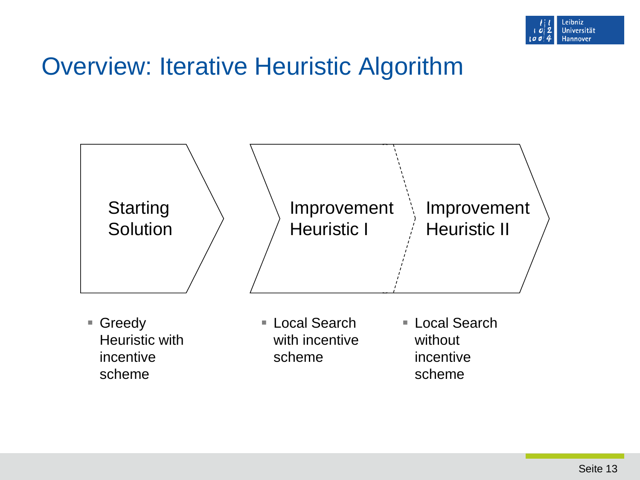![](_page_12_Picture_0.jpeg)

## Overview: Iterative Heuristic Algorithm

![](_page_12_Figure_2.jpeg)

■ Greedy Heuristic with incentive scheme

■ Local Search with incentive scheme

■ Local Search without incentive scheme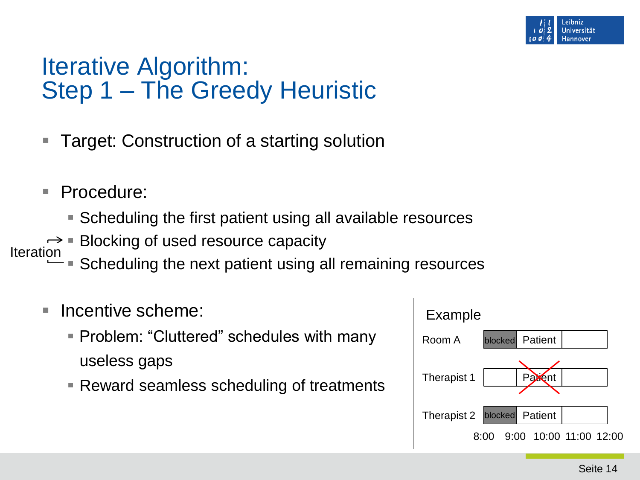![](_page_13_Picture_0.jpeg)

### Iterative Algorithm: Step 1 – The Greedy Heuristic

- Target: Construction of a starting solution
- Procedure:
	- Scheduling the first patient using all available resources
- $\rightarrow$  Blocking of used resource capacity **Iteration** 
	- $\frac{54}{10}$  Scheduling the next patient using all remaining resources
	- **Incentive scheme:** 
		- **Problem: "Cluttered" schedules with many** useless gaps
		- Reward seamless scheduling of treatments

![](_page_13_Figure_10.jpeg)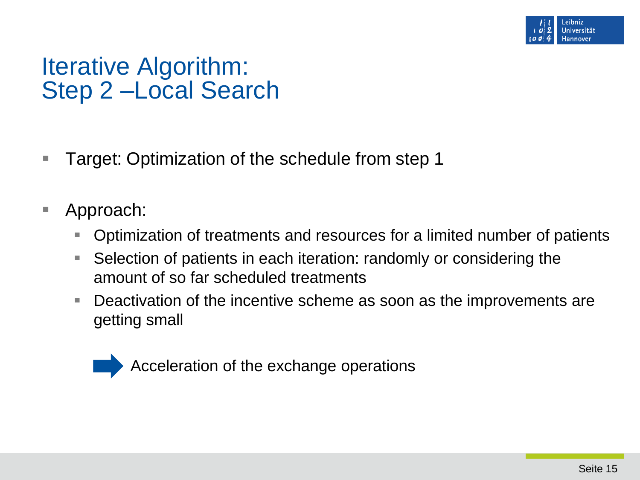![](_page_14_Picture_0.jpeg)

## Iterative Algorithm: Step 2 –Local Search

- Target: Optimization of the schedule from step 1
- Approach:
	- Optimization of treatments and resources for a limited number of patients
	- Selection of patients in each iteration: randomly or considering the amount of so far scheduled treatments
	- Deactivation of the incentive scheme as soon as the improvements are getting small

![](_page_14_Picture_7.jpeg)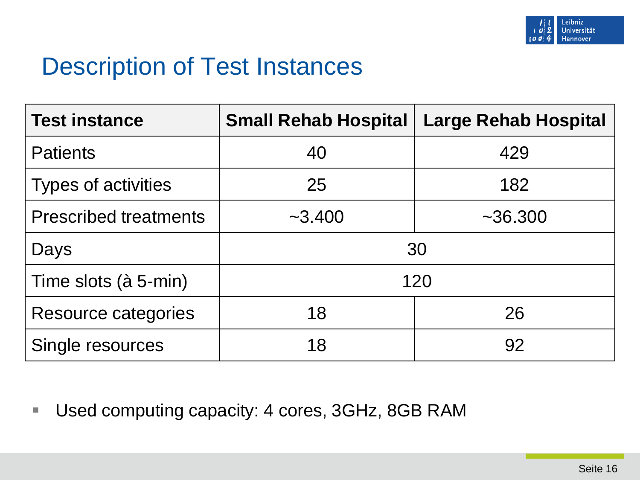![](_page_15_Picture_0.jpeg)

## Description of Test Instances

| <b>Test instance</b>         | <b>Small Rehab Hospital</b> | <b>Large Rehab Hospital</b> |
|------------------------------|-----------------------------|-----------------------------|
| <b>Patients</b>              | 40                          | 429                         |
| <b>Types of activities</b>   | 25                          | 182                         |
| <b>Prescribed treatments</b> | $-3.400$                    | $~1$ - 36.300               |
| Days                         | 30                          |                             |
| Time slots (à 5-min)         | 120                         |                             |
| <b>Resource categories</b>   | 18                          | 26                          |
| Single resources             | 18                          | 92                          |

■ Used computing capacity: 4 cores, 3GHz, 8GB RAM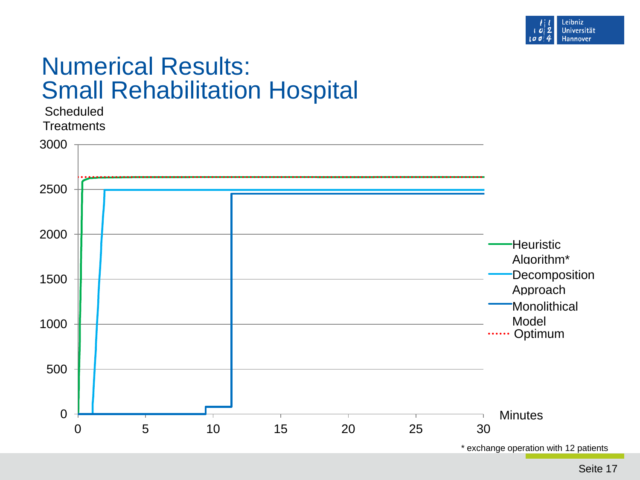![](_page_16_Picture_0.jpeg)

## Numerical Results: Small Rehabilitation Hospital

![](_page_16_Figure_2.jpeg)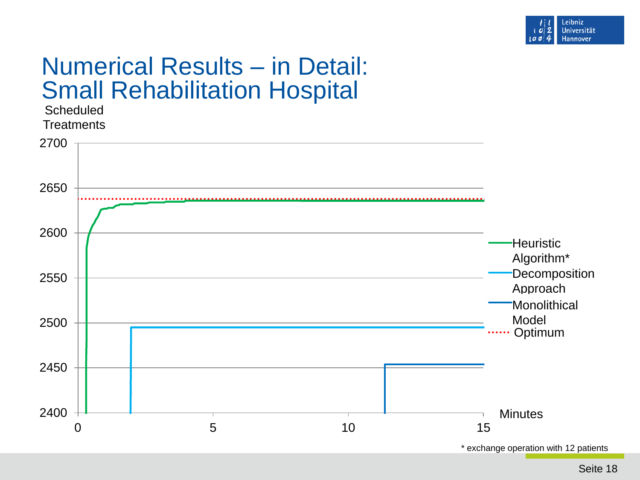![](_page_17_Picture_0.jpeg)

#### Numerical Results – in Detail: Small Rehabilitation Hospital

![](_page_17_Figure_2.jpeg)

Seite 18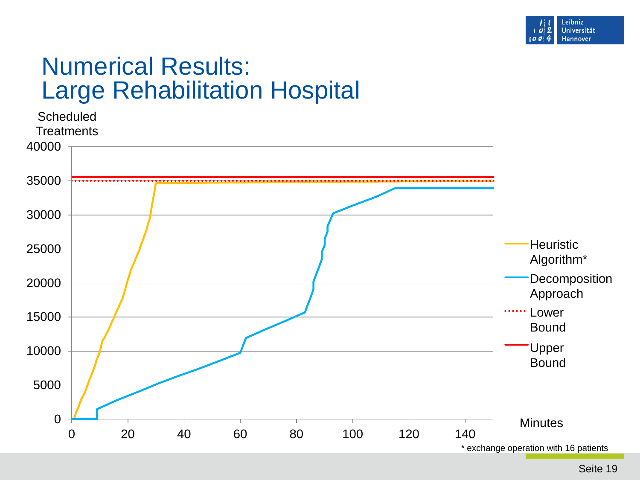![](_page_18_Picture_0.jpeg)

## Numerical Results: Large Rehabilitation Hospital

![](_page_18_Figure_2.jpeg)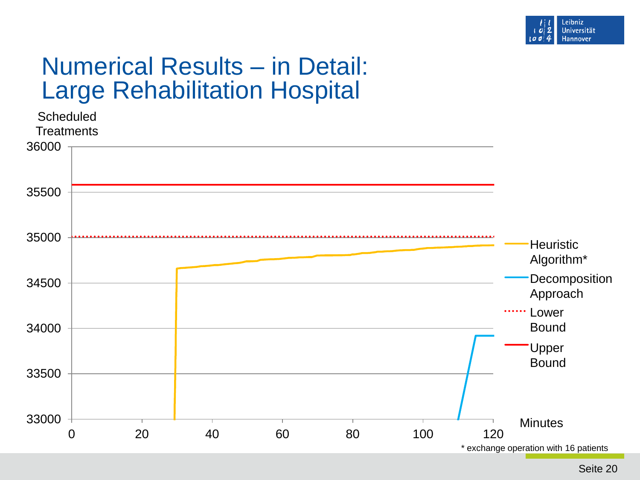![](_page_19_Picture_0.jpeg)

## Numerical Results – in Detail: Large Rehabilitation Hospital

![](_page_19_Figure_2.jpeg)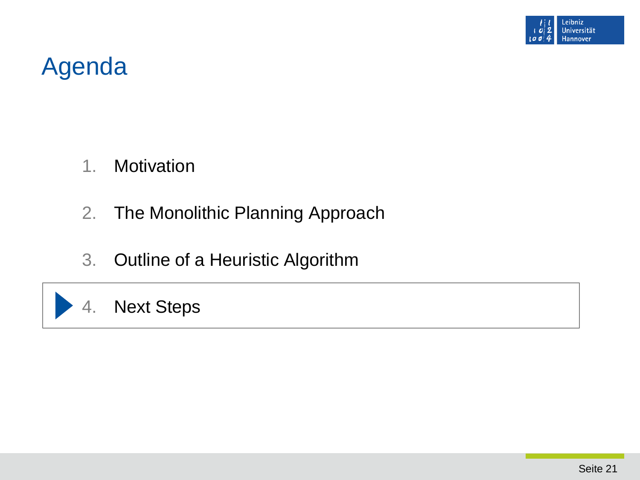![](_page_20_Picture_0.jpeg)

## Agenda

- 1. Motivation
- 2. The Monolithic Planning Approach
- 3. Outline of a Heuristic Algorithm

#### 4. Next Steps